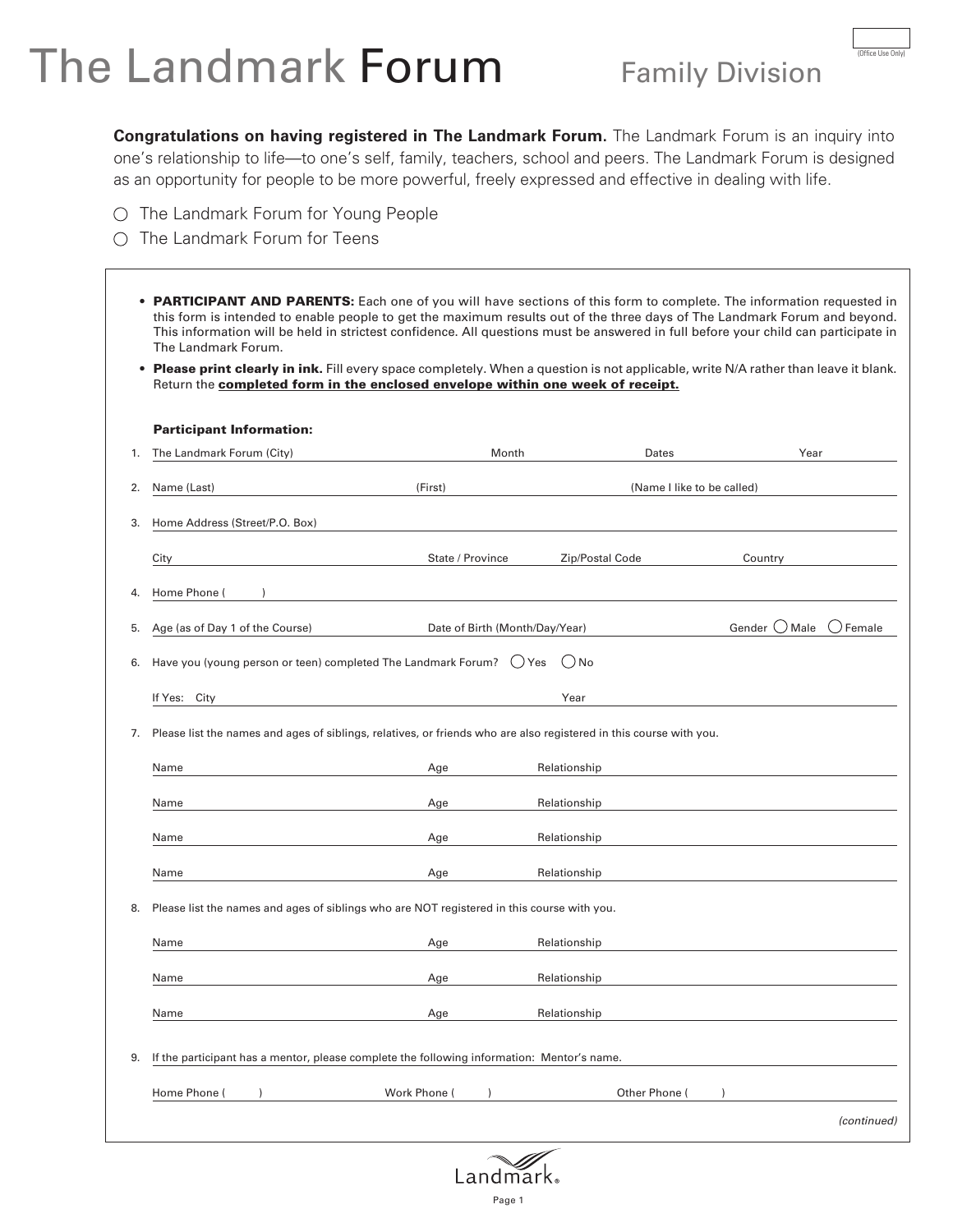# The Landmark Forum Family Division

**Congratulations on having registered in The Landmark Forum.** The Landmark Forum is an inquiry into one's relationship to life—to one's self, family, teachers, school and peers. The Landmark Forum is designed as an opportunity for people to be more powerful, freely expressed and effective in dealing with life.

- O The Landmark Forum for Young People
- O The Landmark Forum for Teens

| $\bullet$                                                                                 | Please print clearly in ink. Fill every space completely. When a question is not applicable, write N/A rather than leave it blank.<br>Return the completed form in the enclosed envelope within one week of receipt. |                                |                            |                 |          |
|-------------------------------------------------------------------------------------------|----------------------------------------------------------------------------------------------------------------------------------------------------------------------------------------------------------------------|--------------------------------|----------------------------|-----------------|----------|
|                                                                                           | <b>Participant Information:</b>                                                                                                                                                                                      |                                |                            |                 |          |
| 1.                                                                                        | The Landmark Forum (City)                                                                                                                                                                                            | Month                          | Dates                      | Year            |          |
| 2.                                                                                        | Name (Last)                                                                                                                                                                                                          | (First)                        | (Name I like to be called) |                 |          |
| 3.                                                                                        | Home Address (Street/P.O. Box)                                                                                                                                                                                       |                                |                            |                 |          |
|                                                                                           | City                                                                                                                                                                                                                 | State / Province               | Zip/Postal Code            | Country         |          |
| 4.                                                                                        | Home Phone (                                                                                                                                                                                                         |                                |                            |                 |          |
| 5.                                                                                        | Age (as of Day 1 of the Course)                                                                                                                                                                                      | Date of Birth (Month/Day/Year) |                            | Gender ( ) Male | ) Female |
| Have you (young person or teen) completed The Landmark Forum?<br>$()$ No<br>( ) Yes<br>6. |                                                                                                                                                                                                                      |                                |                            |                 |          |
|                                                                                           |                                                                                                                                                                                                                      |                                |                            |                 |          |
|                                                                                           | If Yes: City                                                                                                                                                                                                         |                                | Year                       |                 |          |
|                                                                                           |                                                                                                                                                                                                                      |                                |                            |                 |          |
|                                                                                           | 7. Please list the names and ages of siblings, relatives, or friends who are also registered in this course with you.                                                                                                |                                |                            |                 |          |
|                                                                                           | Name                                                                                                                                                                                                                 | Age                            | Relationship               |                 |          |
|                                                                                           | Name                                                                                                                                                                                                                 | Age                            | Relationship               |                 |          |
|                                                                                           | Name                                                                                                                                                                                                                 | Age                            | Relationship               |                 |          |
|                                                                                           | Name                                                                                                                                                                                                                 | Age                            | Relationship               |                 |          |
|                                                                                           | Please list the names and ages of siblings who are NOT registered in this course with you.                                                                                                                           |                                |                            |                 |          |
| 8.                                                                                        | Name                                                                                                                                                                                                                 | Age                            | Relationship               |                 |          |
|                                                                                           | Name                                                                                                                                                                                                                 | Age                            | Relationship               |                 |          |
|                                                                                           | Name                                                                                                                                                                                                                 | Age                            | Relationship               |                 |          |
| 9.                                                                                        | If the participant has a mentor, please complete the following information: Mentor's name.                                                                                                                           |                                |                            |                 |          |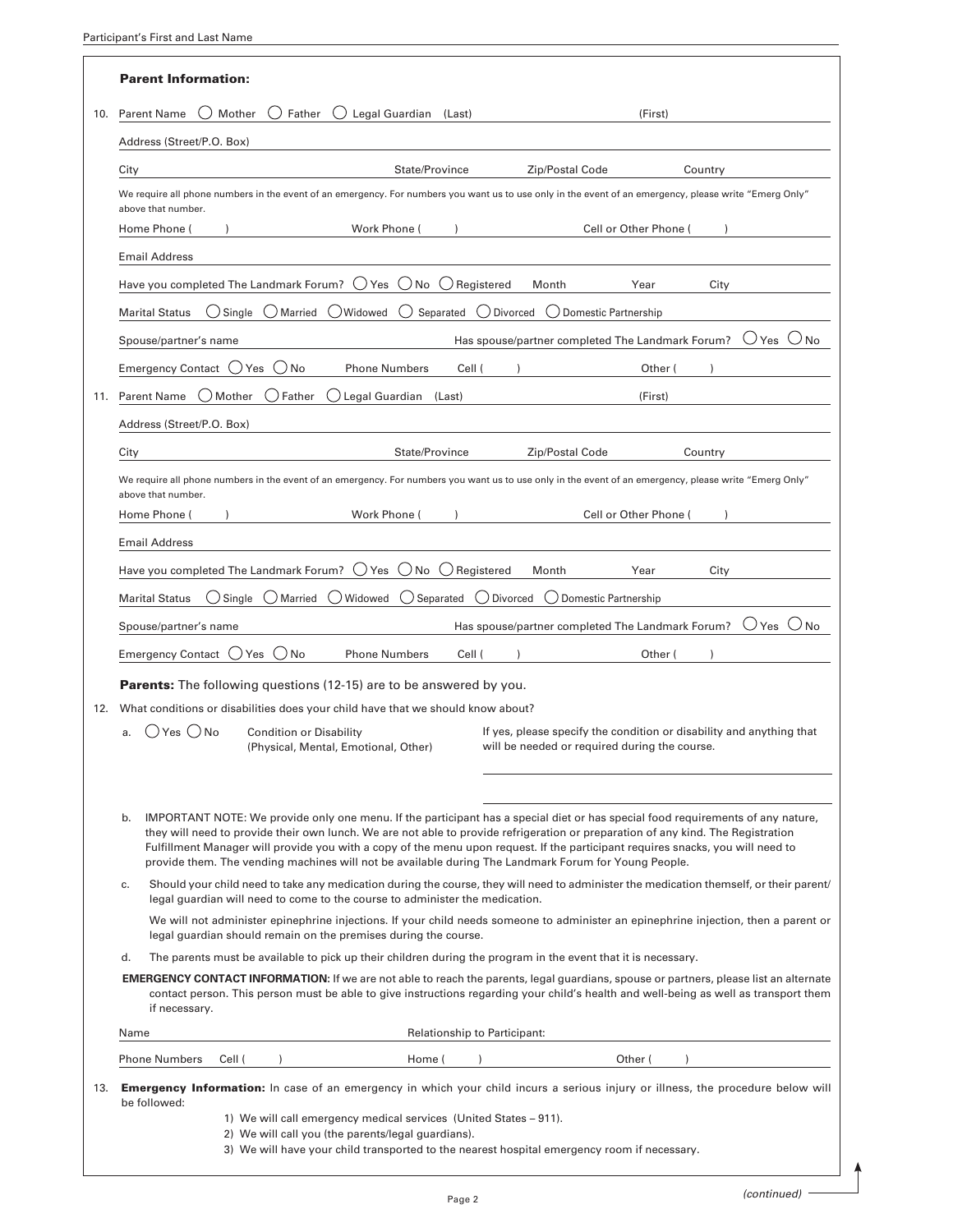|     | <b>Parent Information:</b>                                                                                                                                                                                                                                                                                                                                                                                                                                                                                           |  |  |  |
|-----|----------------------------------------------------------------------------------------------------------------------------------------------------------------------------------------------------------------------------------------------------------------------------------------------------------------------------------------------------------------------------------------------------------------------------------------------------------------------------------------------------------------------|--|--|--|
| 10. | <b>Parent Name</b><br>Mother<br>Father<br>Legal Guardian (Last)<br>(First)<br>()                                                                                                                                                                                                                                                                                                                                                                                                                                     |  |  |  |
|     | Address (Street/P.O. Box)                                                                                                                                                                                                                                                                                                                                                                                                                                                                                            |  |  |  |
|     | State/Province<br>Zip/Postal Code<br>City<br>Country                                                                                                                                                                                                                                                                                                                                                                                                                                                                 |  |  |  |
|     | We require all phone numbers in the event of an emergency. For numbers you want us to use only in the event of an emergency, please write "Emerg Only"<br>above that number.                                                                                                                                                                                                                                                                                                                                         |  |  |  |
|     | Cell or Other Phone (<br>Work Phone (<br>Home Phone (                                                                                                                                                                                                                                                                                                                                                                                                                                                                |  |  |  |
|     | <b>Email Address</b>                                                                                                                                                                                                                                                                                                                                                                                                                                                                                                 |  |  |  |
|     | Have you completed The Landmark Forum?<br>$\bigcup$ Yes $\bigcup$ No $\bigcup$ Registered<br>Month<br>Year<br>City                                                                                                                                                                                                                                                                                                                                                                                                   |  |  |  |
|     | $\bigcirc$ Single<br>( ) Widowed<br>Separated $\bigcup$ Divorced<br><b>Marital Status</b><br>( ) Married<br>( )<br>◯ Domestic Partnership                                                                                                                                                                                                                                                                                                                                                                            |  |  |  |
|     | Has spouse/partner completed The Landmark Forum?<br>$\bigcup$ Yes<br>N <sub>o</sub><br>Spouse/partner's name                                                                                                                                                                                                                                                                                                                                                                                                         |  |  |  |
|     | Emergency Contact $\bigcirc$ Yes<br>$($ )<br>No<br>Cell (<br><b>Phone Numbers</b><br>Other (                                                                                                                                                                                                                                                                                                                                                                                                                         |  |  |  |
| 11. | Parent Name $\bigcirc$ Mother<br>( ) Father<br>Legal Guardian (Last)<br>(First)                                                                                                                                                                                                                                                                                                                                                                                                                                      |  |  |  |
|     | Address (Street/P.O. Box)                                                                                                                                                                                                                                                                                                                                                                                                                                                                                            |  |  |  |
|     | State/Province<br>Zip/Postal Code<br>City<br>Country                                                                                                                                                                                                                                                                                                                                                                                                                                                                 |  |  |  |
|     | We require all phone numbers in the event of an emergency. For numbers you want us to use only in the event of an emergency, please write "Emerg Only"<br>above that number.                                                                                                                                                                                                                                                                                                                                         |  |  |  |
|     | Work Phone (<br>Cell or Other Phone (<br>Home Phone (                                                                                                                                                                                                                                                                                                                                                                                                                                                                |  |  |  |
|     | <b>Email Address</b>                                                                                                                                                                                                                                                                                                                                                                                                                                                                                                 |  |  |  |
|     | Have you completed The Landmark Forum? $\bigcirc$ Yes $\bigcirc$ No $\bigcirc$ Registered<br>Month<br>Year<br>City                                                                                                                                                                                                                                                                                                                                                                                                   |  |  |  |
|     | <b>Marital Status</b><br>( ) Married<br>( ) Widowed<br>$\bigcup$ Separated<br>( ) Divorced<br>() Domestic Partnership<br>$\bigcup$ Single                                                                                                                                                                                                                                                                                                                                                                            |  |  |  |
|     | Has spouse/partner completed The Landmark Forum?<br>$\bigcup$ Yes<br>No.<br>Spouse/partner's name                                                                                                                                                                                                                                                                                                                                                                                                                    |  |  |  |
|     | Emergency Contact () Yes<br>$($ )<br>No<br><b>Phone Numbers</b><br>Cell (<br>Other (                                                                                                                                                                                                                                                                                                                                                                                                                                 |  |  |  |
|     | Parents: The following questions (12-15) are to be answered by you.                                                                                                                                                                                                                                                                                                                                                                                                                                                  |  |  |  |
|     | 12. What conditions or disabilities does your child have that we should know about?                                                                                                                                                                                                                                                                                                                                                                                                                                  |  |  |  |
|     | () Yes () No<br>If yes, please specify the condition or disability and anything that<br><b>Condition or Disability</b><br>a.<br>will be needed or required during the course.<br>(Physical, Mental, Emotional, Other)                                                                                                                                                                                                                                                                                                |  |  |  |
|     |                                                                                                                                                                                                                                                                                                                                                                                                                                                                                                                      |  |  |  |
|     | IMPORTANT NOTE: We provide only one menu. If the participant has a special diet or has special food requirements of any nature,<br>b.<br>they will need to provide their own lunch. We are not able to provide refrigeration or preparation of any kind. The Registration<br>Fulfillment Manager will provide you with a copy of the menu upon request. If the participant requires snacks, you will need to<br>provide them. The vending machines will not be available during The Landmark Forum for Young People. |  |  |  |
|     | Should your child need to take any medication during the course, they will need to administer the medication themself, or their parent/<br>c.<br>legal quardian will need to come to the course to administer the medication.                                                                                                                                                                                                                                                                                        |  |  |  |
|     | We will not administer epinephrine injections. If your child needs someone to administer an epinephrine injection, then a parent or<br>legal guardian should remain on the premises during the course.                                                                                                                                                                                                                                                                                                               |  |  |  |
|     | d.<br>The parents must be available to pick up their children during the program in the event that it is necessary.                                                                                                                                                                                                                                                                                                                                                                                                  |  |  |  |
|     | <b>EMERGENCY CONTACT INFORMATION:</b> If we are not able to reach the parents, legal guardians, spouse or partners, please list an alternate<br>contact person. This person must be able to give instructions regarding your child's health and well-being as well as transport them<br>if necessary.                                                                                                                                                                                                                |  |  |  |
|     | Name<br>Relationship to Participant:                                                                                                                                                                                                                                                                                                                                                                                                                                                                                 |  |  |  |
|     | <b>Phone Numbers</b><br>Cell (<br>Home (<br>Other (                                                                                                                                                                                                                                                                                                                                                                                                                                                                  |  |  |  |
|     | 13. Emergency Information: In case of an emergency in which your child incurs a serious injury or illness, the procedure below will<br>be followed:<br>1) We will call emergency medical services (United States - 911).<br>2) We will call you (the parents/legal guardians).                                                                                                                                                                                                                                       |  |  |  |

3) We will have your child transported to the nearest hospital emergency room if necessary.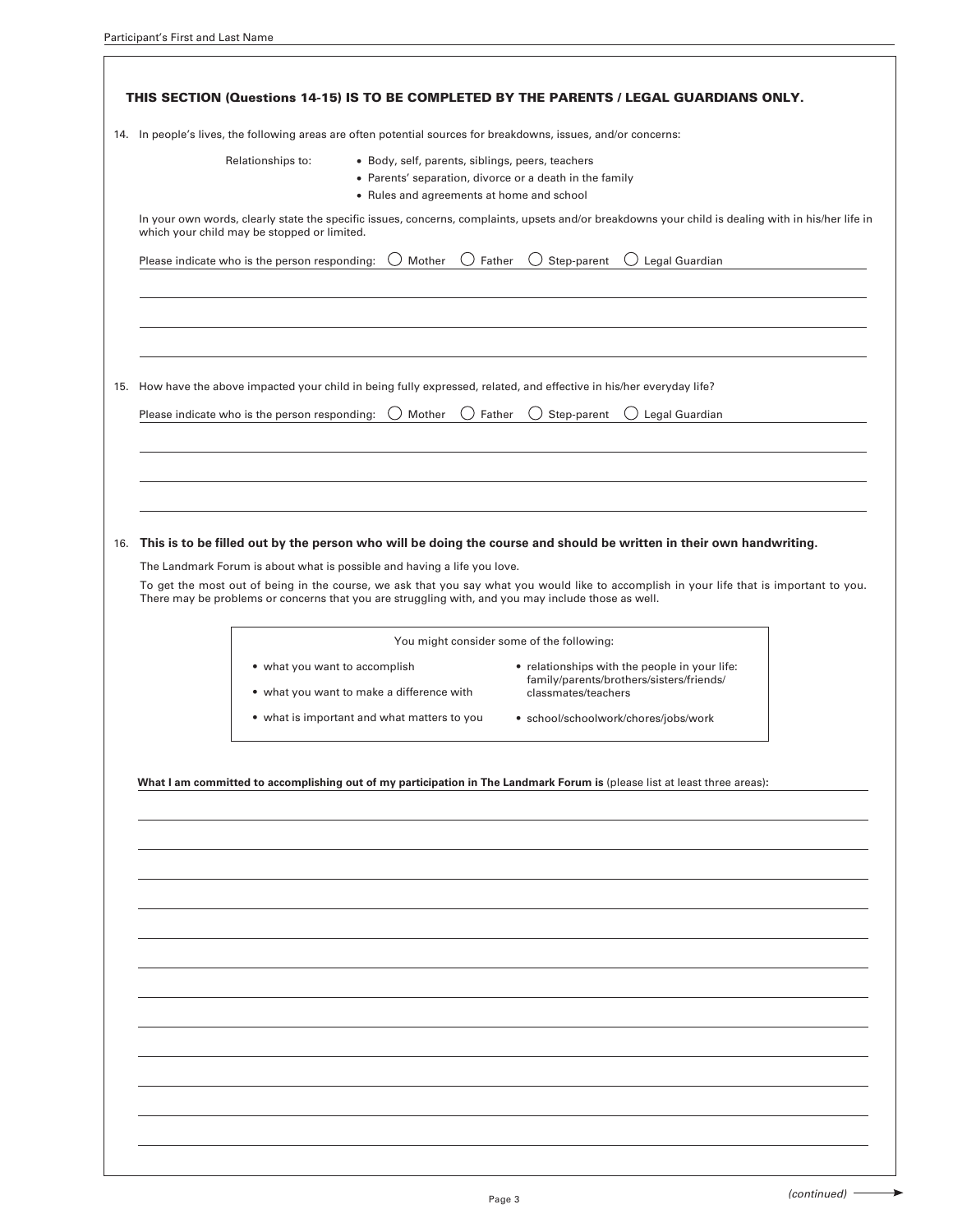$\lceil$ 

| 14. In people's lives, the following areas are often potential sources for breakdowns, issues, and/or concerns:       |                                                                                                                                                          |                                                                                                                                                    |  |  |
|-----------------------------------------------------------------------------------------------------------------------|----------------------------------------------------------------------------------------------------------------------------------------------------------|----------------------------------------------------------------------------------------------------------------------------------------------------|--|--|
| Relationships to:                                                                                                     | • Body, self, parents, siblings, peers, teachers<br>• Parents' separation, divorce or a death in the family<br>• Rules and agreements at home and school |                                                                                                                                                    |  |  |
| which your child may be stopped or limited.                                                                           |                                                                                                                                                          | In your own words, clearly state the specific issues, concerns, complaints, upsets and/or breakdowns your child is dealing with in his/her life in |  |  |
| Please indicate who is the person responding:                                                                         | Father<br>Mother                                                                                                                                         | Step-parent<br>Legal Guardian<br>$($ )                                                                                                             |  |  |
| 15. How have the above impacted your child in being fully expressed, related, and effective in his/her everyday life? |                                                                                                                                                          |                                                                                                                                                    |  |  |
| Please indicate who is the person responding:                                                                         | Mother<br>Father                                                                                                                                         | Step-parent<br>Legal Guardian                                                                                                                      |  |  |
|                                                                                                                       |                                                                                                                                                          |                                                                                                                                                    |  |  |
|                                                                                                                       |                                                                                                                                                          | This is to be filled out by the person who will be doing the course and should be written in their own handwriting.                                |  |  |
|                                                                                                                       |                                                                                                                                                          |                                                                                                                                                    |  |  |
|                                                                                                                       |                                                                                                                                                          |                                                                                                                                                    |  |  |
|                                                                                                                       | The Landmark Forum is about what is possible and having a life you love.                                                                                 | To get the most out of being in the course, we ask that you say what you would like to accomplish in your life that is important to you.           |  |  |
|                                                                                                                       |                                                                                                                                                          | There may be problems or concerns that you are struggling with, and you may include those as well.                                                 |  |  |
|                                                                                                                       |                                                                                                                                                          | You might consider some of the following:                                                                                                          |  |  |
| • what you want to accomplish                                                                                         |                                                                                                                                                          | • relationships with the people in your life:                                                                                                      |  |  |
|                                                                                                                       | • what you want to make a difference with                                                                                                                | family/parents/brothers/sisters/friends/<br>classmates/teachers                                                                                    |  |  |
|                                                                                                                       | • what is important and what matters to you                                                                                                              | · school/schoolwork/chores/jobs/work                                                                                                               |  |  |
|                                                                                                                       |                                                                                                                                                          |                                                                                                                                                    |  |  |
|                                                                                                                       |                                                                                                                                                          | What I am committed to accomplishing out of my participation in The Landmark Forum is (please list at least three areas):                          |  |  |
|                                                                                                                       |                                                                                                                                                          |                                                                                                                                                    |  |  |
|                                                                                                                       |                                                                                                                                                          |                                                                                                                                                    |  |  |
|                                                                                                                       |                                                                                                                                                          |                                                                                                                                                    |  |  |
|                                                                                                                       |                                                                                                                                                          |                                                                                                                                                    |  |  |
|                                                                                                                       |                                                                                                                                                          |                                                                                                                                                    |  |  |
|                                                                                                                       |                                                                                                                                                          |                                                                                                                                                    |  |  |
|                                                                                                                       |                                                                                                                                                          |                                                                                                                                                    |  |  |
|                                                                                                                       |                                                                                                                                                          |                                                                                                                                                    |  |  |
|                                                                                                                       |                                                                                                                                                          |                                                                                                                                                    |  |  |
|                                                                                                                       |                                                                                                                                                          |                                                                                                                                                    |  |  |
|                                                                                                                       |                                                                                                                                                          |                                                                                                                                                    |  |  |

 $\rightarrow$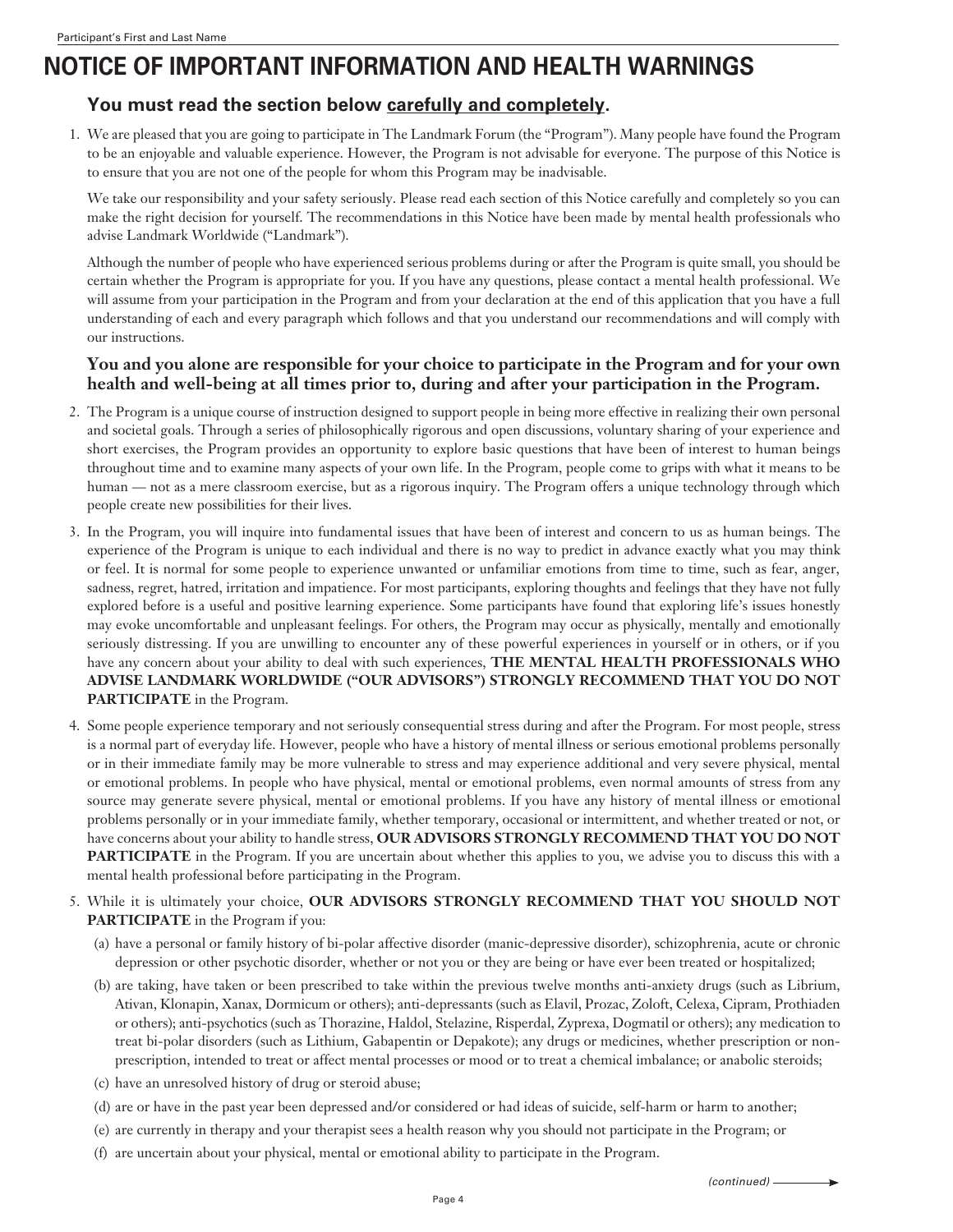## **NOTICE OF IMPORTANT INFORMATION AND HEALTH WARNINGS**

#### **You must read the section below carefully and completely.**

1. We are pleased that you are going to participate in The Landmark Forum (the "Program"). Many people have found the Program to be an enjoyable and valuable experience. However, the Program is not advisable for everyone. The purpose of this Notice is to ensure that you are not one of the people for whom this Program may be inadvisable.

 We take our responsibility and your safety seriously. Please read each section of this Notice carefully and completely so you can make the right decision for yourself. The recommendations in this Notice have been made by mental health professionals who advise Landmark Worldwide ("Landmark").

 Although the number of people who have experienced serious problems during or after the Program is quite small, you should be certain whether the Program is appropriate for you. If you have any questions, please contact a mental health professional. We will assume from your participation in the Program and from your declaration at the end of this application that you have a full understanding of each and every paragraph which follows and that you understand our recommendations and will comply with our instructions.

#### **You and you alone are responsible for your choice to participate in the Program and for your own health and well-being at all times prior to, during and after your participation in the Program.**

- 2. The Program is a unique course of instruction designed to support people in being more effective in realizing their own personal and societal goals. Through a series of philosophically rigorous and open discussions, voluntary sharing of your experience and short exercises, the Program provides an opportunity to explore basic questions that have been of interest to human beings throughout time and to examine many aspects of your own life. In the Program, people come to grips with what it means to be human — not as a mere classroom exercise, but as a rigorous inquiry. The Program offers a unique technology through which people create new possibilities for their lives.
- 3. In the Program, you will inquire into fundamental issues that have been of interest and concern to us as human beings. The experience of the Program is unique to each individual and there is no way to predict in advance exactly what you may think or feel. It is normal for some people to experience unwanted or unfamiliar emotions from time to time, such as fear, anger, sadness, regret, hatred, irritation and impatience. For most participants, exploring thoughts and feelings that they have not fully explored before is a useful and positive learning experience. Some participants have found that exploring life's issues honestly may evoke uncomfortable and unpleasant feelings. For others, the Program may occur as physically, mentally and emotionally seriously distressing. If you are unwilling to encounter any of these powerful experiences in yourself or in others, or if you have any concern about your ability to deal with such experiences, **THE MENTAL HEALTH PROFESSIONALS WHO ADVISE LANDMARK WORLDWIDE ("OUR ADVISORS") STRONGLY RECOMMEND THAT YOU DO NOT PARTICIPATE** in the Program.
- 4. Some people experience temporary and not seriously consequential stress during and after the Program. For most people, stress is a normal part of everyday life. However, people who have a history of mental illness or serious emotional problems personally or in their immediate family may be more vulnerable to stress and may experience additional and very severe physical, mental or emotional problems. In people who have physical, mental or emotional problems, even normal amounts of stress from any source may generate severe physical, mental or emotional problems. If you have any history of mental illness or emotional problems personally or in your immediate family, whether temporary, occasional or intermittent, and whether treated or not, or have concerns about your ability to handle stress, **OUR ADVISORS STRONGLY RECOMMEND THAT YOU DO NOT PARTICIPATE** in the Program. If you are uncertain about whether this applies to you, we advise you to discuss this with a mental health professional before participating in the Program.
- 5. While it is ultimately your choice, **OUR ADVISORS STRONGLY RECOMMEND THAT YOU SHOULD NOT PARTICIPATE** in the Program if you:
	- (a) have a personal or family history of bi-polar affective disorder (manic-depressive disorder), schizophrenia, acute or chronic depression or other psychotic disorder, whether or not you or they are being or have ever been treated or hospitalized;
	- (b) are taking, have taken or been prescribed to take within the previous twelve months anti-anxiety drugs (such as Librium, Ativan, Klonapin, Xanax, Dormicum or others); anti-depressants (such as Elavil, Prozac, Zoloft, Celexa, Cipram, Prothiaden or others); anti-psychotics (such as Thorazine, Haldol, Stelazine, Risperdal, Zyprexa, Dogmatil or others); any medication to treat bi-polar disorders (such as Lithium, Gabapentin or Depakote); any drugs or medicines, whether prescription or nonprescription, intended to treat or affect mental processes or mood or to treat a chemical imbalance; or anabolic steroids;
	- (c) have an unresolved history of drug or steroid abuse;
	- (d) are or have in the past year been depressed and/or considered or had ideas of suicide, self-harm or harm to another;
	- (e) are currently in therapy and your therapist sees a health reason why you should not participate in the Program; or
	- (f) are uncertain about your physical, mental or emotional ability to participate in the Program.

*(continued)*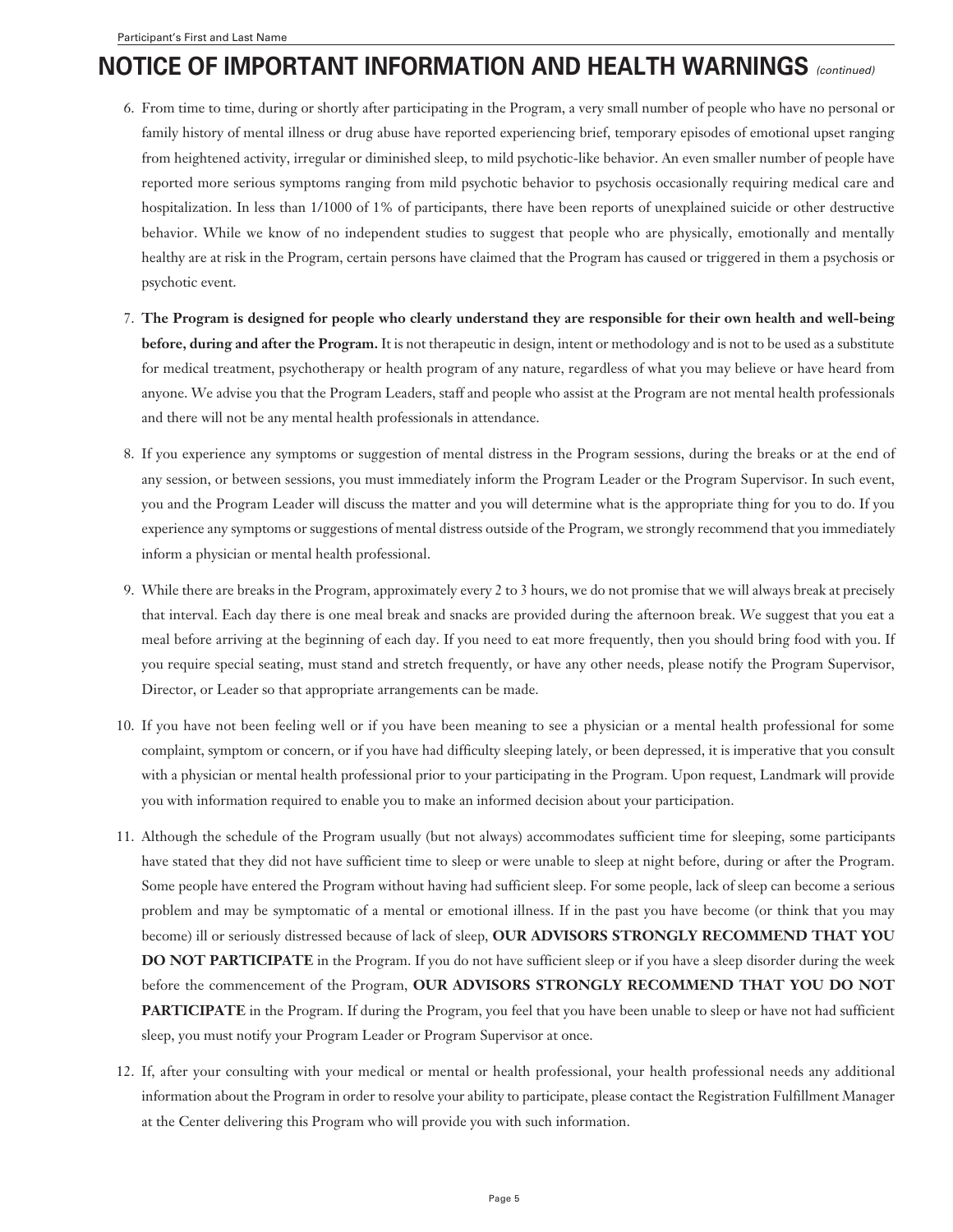## **NOTICE OF IMPORTANT INFORMATION AND HEALTH WARNINGS** *(continued)*

- 6. From time to time, during or shortly after participating in the Program, a very small number of people who have no personal or family history of mental illness or drug abuse have reported experiencing brief, temporary episodes of emotional upset ranging from heightened activity, irregular or diminished sleep, to mild psychotic-like behavior. An even smaller number of people have reported more serious symptoms ranging from mild psychotic behavior to psychosis occasionally requiring medical care and hospitalization. In less than 1/1000 of 1% of participants, there have been reports of unexplained suicide or other destructive behavior. While we know of no independent studies to suggest that people who are physically, emotionally and mentally healthy are at risk in the Program, certain persons have claimed that the Program has caused or triggered in them a psychosis or psychotic event.
- 7. **The Program is designed for people who clearly understand they are responsible for their own health and well-being before, during and after the Program.** It is not therapeutic in design, intent or methodology and is not to be used as a substitute for medical treatment, psychotherapy or health program of any nature, regardless of what you may believe or have heard from anyone. We advise you that the Program Leaders, staff and people who assist at the Program are not mental health professionals and there will not be any mental health professionals in attendance.
- 8. If you experience any symptoms or suggestion of mental distress in the Program sessions, during the breaks or at the end of any session, or between sessions, you must immediately inform the Program Leader or the Program Supervisor. In such event, you and the Program Leader will discuss the matter and you will determine what is the appropriate thing for you to do. If you experience any symptoms or suggestions of mental distress outside of the Program, we strongly recommend that you immediately inform a physician or mental health professional.
- 9. While there are breaks in the Program, approximately every 2 to 3 hours, we do not promise that we will always break at precisely that interval. Each day there is one meal break and snacks are provided during the afternoon break. We suggest that you eat a meal before arriving at the beginning of each day. If you need to eat more frequently, then you should bring food with you. If you require special seating, must stand and stretch frequently, or have any other needs, please notify the Program Supervisor, Director, or Leader so that appropriate arrangements can be made.
- 10. If you have not been feeling well or if you have been meaning to see a physician or a mental health professional for some complaint, symptom or concern, or if you have had difficulty sleeping lately, or been depressed, it is imperative that you consult with a physician or mental health professional prior to your participating in the Program. Upon request, Landmark will provide you with information required to enable you to make an informed decision about your participation.
- 11. Although the schedule of the Program usually (but not always) accommodates sufficient time for sleeping, some participants have stated that they did not have sufficient time to sleep or were unable to sleep at night before, during or after the Program. Some people have entered the Program without having had sufficient sleep. For some people, lack of sleep can become a serious problem and may be symptomatic of a mental or emotional illness. If in the past you have become (or think that you may become) ill or seriously distressed because of lack of sleep, **OUR ADVISORS STRONGLY RECOMMEND THAT YOU DO NOT PARTICIPATE** in the Program. If you do not have sufficient sleep or if you have a sleep disorder during the week before the commencement of the Program, **OUR ADVISORS STRONGLY RECOMMEND THAT YOU DO NOT PARTICIPATE** in the Program. If during the Program, you feel that you have been unable to sleep or have not had sufficient sleep, you must notify your Program Leader or Program Supervisor at once.
- 12. If, after your consulting with your medical or mental or health professional, your health professional needs any additional information about the Program in order to resolve your ability to participate, please contact the Registration Fulfillment Manager at the Center delivering this Program who will provide you with such information.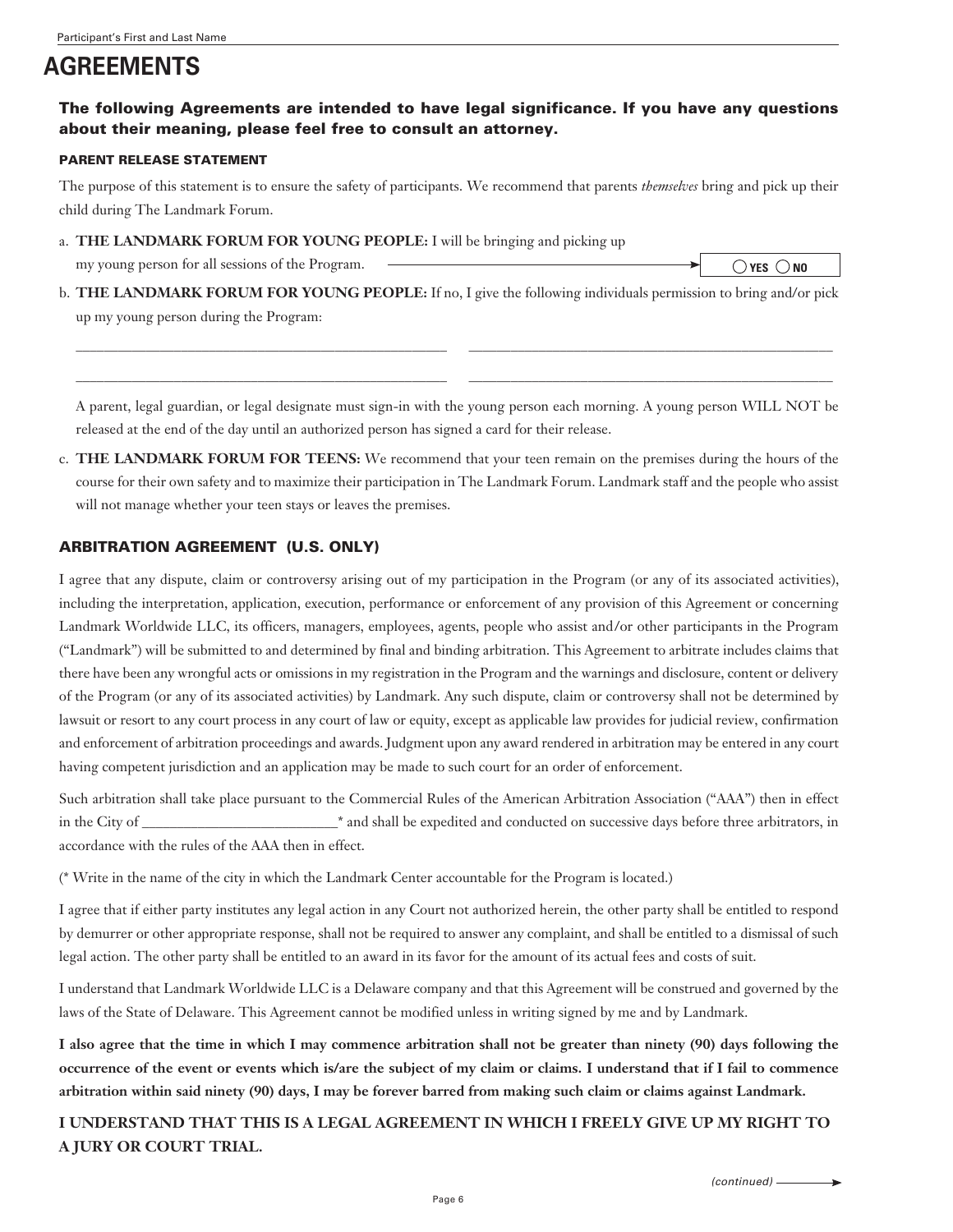# **AGREEMENTS**

#### The following Agreements are intended to have legal significance. If you have any questions about their meaning, please feel free to consult an attorney.

#### PARENT RELEASE STATEMENT

The purpose of this statement is to ensure the safety of participants. We recommend that parents *themselves* bring and pick up their child during The Landmark Forum.

a. **THE LANDMARK FORUM FOR YOUNG PEOPLE:** I will be bringing and picking up

my young person for all sessions of the Program.

 $\bigcirc$  YES  $\bigcirc$  NO

b. **THE LANDMARK FORUM FOR YOUNG PEOPLE:** If no, I give the following individuals permission to bring and/or pick up my young person during the Program:

 \_\_\_\_\_\_\_\_\_\_\_\_\_\_\_\_\_\_\_\_\_\_\_\_\_\_\_\_\_\_\_\_\_\_\_\_\_\_\_\_\_\_\_\_\_\_\_\_\_\_\_\_\_ \_\_\_\_\_\_\_\_\_\_\_\_\_\_\_\_\_\_\_\_\_\_\_\_\_\_\_\_\_\_\_\_\_\_\_\_\_\_\_\_\_\_\_\_\_\_\_\_\_\_\_\_ \_\_\_\_\_\_\_\_\_\_\_\_\_\_\_\_\_\_\_\_\_\_\_\_\_\_\_\_\_\_\_\_\_\_\_\_\_\_\_\_\_\_\_\_\_\_\_\_\_\_\_\_\_ \_\_\_\_\_\_\_\_\_\_\_\_\_\_\_\_\_\_\_\_\_\_\_\_\_\_\_\_\_\_\_\_\_\_\_\_\_\_\_\_\_\_\_\_\_\_\_\_\_\_\_\_

A parent, legal guardian, or legal designate must sign-in with the young person each morning. A young person WILL NOT be released at the end of the day until an authorized person has signed a card for their release.

c. **THE LANDMARK FORUM FOR TEENS:** We recommend that your teen remain on the premises during the hours of the course for their own safety and to maximize their participation in The Landmark Forum. Landmark staff and the people who assist will not manage whether your teen stays or leaves the premises.

#### ARBITRATION AGREEMENT (U.S. ONLY)

I agree that any dispute, claim or controversy arising out of my participation in the Program (or any of its associated activities), including the interpretation, application, execution, performance or enforcement of any provision of this Agreement or concerning Landmark Worldwide LLC, its officers, managers, employees, agents, people who assist and/or other participants in the Program ("Landmark") will be submitted to and determined by final and binding arbitration. This Agreement to arbitrate includes claims that there have been any wrongful acts or omissions in my registration in the Program and the warnings and disclosure, content or delivery of the Program (or any of its associated activities) by Landmark. Any such dispute, claim or controversy shall not be determined by lawsuit or resort to any court process in any court of law or equity, except as applicable law provides for judicial review, confirmation and enforcement of arbitration proceedings and awards. Judgment upon any award rendered in arbitration may be entered in any court having competent jurisdiction and an application may be made to such court for an order of enforcement.

Such arbitration shall take place pursuant to the Commercial Rules of the American Arbitration Association ("AAA") then in effect in the City of \_\_\_\_\_\_\_\_\_\_\_\_\_\_\_\_\_\_\_\_\_\_\_\_\_\_\_\_\* and shall be expedited and conducted on successive days before three arbitrators, in accordance with the rules of the AAA then in effect.

(\* Write in the name of the city in which the Landmark Center accountable for the Program is located.)

I agree that if either party institutes any legal action in any Court not authorized herein, the other party shall be entitled to respond by demurrer or other appropriate response, shall not be required to answer any complaint, and shall be entitled to a dismissal of such legal action. The other party shall be entitled to an award in its favor for the amount of its actual fees and costs of suit.

I understand that Landmark Worldwide LLC is a Delaware company and that this Agreement will be construed and governed by the laws of the State of Delaware. This Agreement cannot be modified unless in writing signed by me and by Landmark.

**I also agree that the time in which I may commence arbitration shall not be greater than ninety (90) days following the occurrence of the event or events which is/are the subject of my claim or claims. I understand that if I fail to commence arbitration within said ninety (90) days, I may be forever barred from making such claim or claims against Landmark.**

**I UNDERSTAND THAT THIS IS A LEGAL AGREEMENT IN WHICH I FREELY GIVE UP MY RIGHT TO A JURY OR COURT TRIAL.**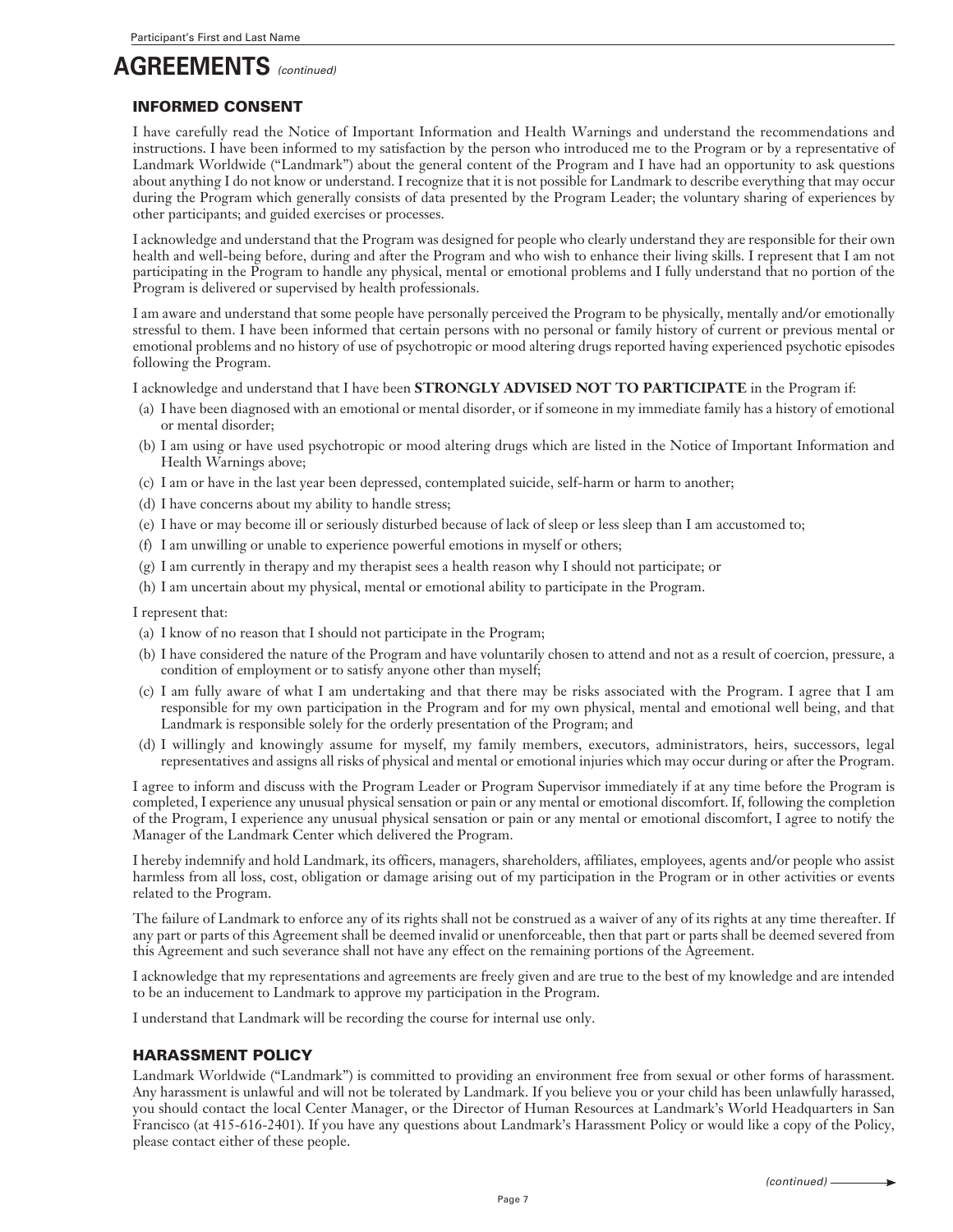# **AGREEMENTS** *(continued)*

#### INFORMED CONSENT

I have carefully read the Notice of Important Information and Health Warnings and understand the recommendations and instructions. I have been informed to my satisfaction by the person who introduced me to the Program or by a representative of Landmark Worldwide ("Landmark") about the general content of the Program and I have had an opportunity to ask questions about anything I do not know or understand. I recognize that it is not possible for Landmark to describe everything that may occur during the Program which generally consists of data presented by the Program Leader; the voluntary sharing of experiences by other participants; and guided exercises or processes.

I acknowledge and understand that the Program was designed for people who clearly understand they are responsible for their own health and well-being before, during and after the Program and who wish to enhance their living skills. I represent that I am not participating in the Program to handle any physical, mental or emotional problems and I fully understand that no portion of the Program is delivered or supervised by health professionals.

I am aware and understand that some people have personally perceived the Program to be physically, mentally and/or emotionally stressful to them. I have been informed that certain persons with no personal or family history of current or previous mental or emotional problems and no history of use of psychotropic or mood altering drugs reported having experienced psychotic episodes following the Program.

I acknowledge and understand that I have been **STRONGLY ADVISED NOT TO PARTICIPATE** in the Program if:

- (a) I have been diagnosed with an emotional or mental disorder, or if someone in my immediate family has a history of emotional or mental disorder;
- (b) I am using or have used psychotropic or mood altering drugs which are listed in the Notice of Important Information and Health Warnings above;
- (c) I am or have in the last year been depressed, contemplated suicide, self-harm or harm to another;
- (d) I have concerns about my ability to handle stress;
- (e) I have or may become ill or seriously disturbed because of lack of sleep or less sleep than I am accustomed to;
- (f) I am unwilling or unable to experience powerful emotions in myself or others;
- (g) I am currently in therapy and my therapist sees a health reason why I should not participate; or
- (h) I am uncertain about my physical, mental or emotional ability to participate in the Program.

I represent that:

- (a) I know of no reason that I should not participate in the Program;
- (b) I have considered the nature of the Program and have voluntarily chosen to attend and not as a result of coercion, pressure, a condition of employment or to satisfy anyone other than myself;
- (c) I am fully aware of what I am undertaking and that there may be risks associated with the Program. I agree that I am responsible for my own participation in the Program and for my own physical, mental and emotional well being, and that Landmark is responsible solely for the orderly presentation of the Program; and
- (d) I willingly and knowingly assume for myself, my family members, executors, administrators, heirs, successors, legal representatives and assigns all risks of physical and mental or emotional injuries which may occur during or after the Program.

I agree to inform and discuss with the Program Leader or Program Supervisor immediately if at any time before the Program is completed, I experience any unusual physical sensation or pain or any mental or emotional discomfort. If, following the completion of the Program, I experience any unusual physical sensation or pain or any mental or emotional discomfort, I agree to notify the Manager of the Landmark Center which delivered the Program.

I hereby indemnify and hold Landmark, its officers, managers, shareholders, affiliates, employees, agents and/or people who assist harmless from all loss, cost, obligation or damage arising out of my participation in the Program or in other activities or events related to the Program.

The failure of Landmark to enforce any of its rights shall not be construed as a waiver of any of its rights at any time thereafter. If any part or parts of this Agreement shall be deemed invalid or unenforceable, then that part or parts shall be deemed severed from this Agreement and such severance shall not have any effect on the remaining portions of the Agreement.

I acknowledge that my representations and agreements are freely given and are true to the best of my knowledge and are intended to be an inducement to Landmark to approve my participation in the Program.

I understand that Landmark will be recording the course for internal use only.

#### HARASSMENT POLICY

Landmark Worldwide ("Landmark") is committed to providing an environment free from sexual or other forms of harassment. Any harassment is unlawful and will not be tolerated by Landmark. If you believe you or your child has been unlawfully harassed, you should contact the local Center Manager, or the Director of Human Resources at Landmark's World Headquarters in San Francisco (at 415-616-2401). If you have any questions about Landmark's Harassment Policy or would like a copy of the Policy, please contact either of these people.